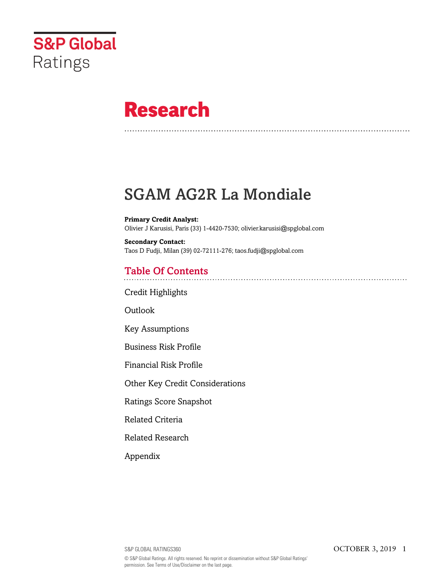

# **Research**

# SGAM AG2R La Mondiale

**Primary Credit Analyst:** Olivier J Karusisi, Paris (33) 1-4420-7530; olivier.karusisi@spglobal.com

**Secondary Contact:** Taos D Fudji, Milan (39) 02-72111-276; taos.fudji@spglobal.com

# Table Of Contents

[Credit Highlights](#page-1-0)

[Outlook](#page--1-0)

[Key Assumptions](#page-2-0)

[Business Risk Profile](#page-2-1)

[Financial Risk Profile](#page-3-0)

[Other Key Credit Considerations](#page-4-0)

[Ratings Score Snapshot](#page-4-1)

[Related Criteria](#page-5-0)

[Related Research](#page-5-1)

[Appendix](#page-5-2)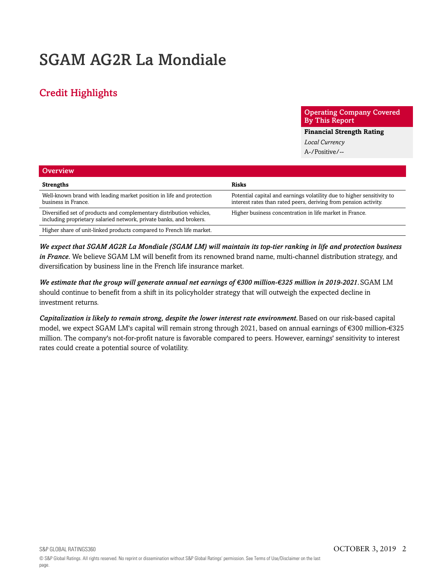# SGAM AG2R La Mondiale

# <span id="page-1-0"></span>Credit Highlights

Operating Company Covered By This Report

**Financial Strength Rating**

*Local Currency* A-/Positive/--

| <b>Overview</b>                                                                                                                             |                                                                                                                                            |
|---------------------------------------------------------------------------------------------------------------------------------------------|--------------------------------------------------------------------------------------------------------------------------------------------|
| <b>Strengths</b>                                                                                                                            | <b>Risks</b>                                                                                                                               |
| Well-known brand with leading market position in life and protection<br>business in France.                                                 | Potential capital and earnings volatility due to higher sensitivity to<br>interest rates than rated peers, deriving from pension activity. |
| Diversified set of products and complementary distribution vehicles,<br>including proprietary salaried network, private banks, and brokers. | Higher business concentration in life market in France.                                                                                    |
| Higher share of unit-linked products compared to French life market.                                                                        |                                                                                                                                            |

*We expect that SGAM AG2R La Mondiale (SGAM LM) will maintain its top-tier ranking in life and protection business in France.* We believe SGAM LM will benefit from its renowned brand name, multi-channel distribution strategy, and diversification by business line in the French life insurance market.

*We estimate that the group will generate annual net earnings of €300 million-€325 million in 2019-2021.*SGAM LM should continue to benefit from a shift in its policyholder strategy that will outweigh the expected decline in investment returns.

*Capitalization is likely to remain strong, despite the lower interest rate environment.*Based on our risk-based capital model, we expect SGAM LM's capital will remain strong through 2021, based on annual earnings of €300 million-€325 million. The company's not-for-profit nature is favorable compared to peers. However, earnings' sensitivity to interest rates could create a potential source of volatility.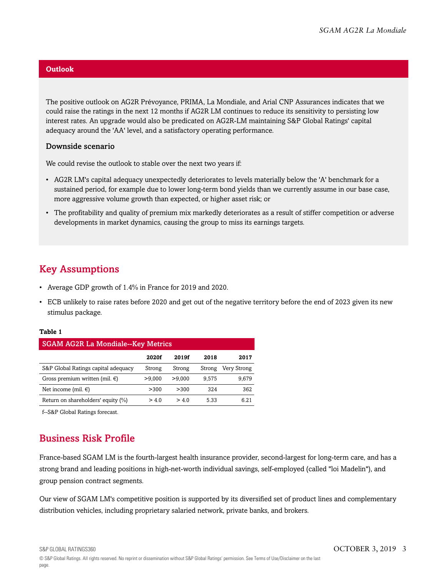### **Outlook**

The positive outlook on AG2R Prévoyance, PRIMA, La Mondiale, and Arial CNP Assurances indicates that we could raise the ratings in the next 12 months if AG2R LM continues to reduce its sensitivity to persisting low interest rates. An upgrade would also be predicated on AG2R-LM maintaining S&P Global Ratings' capital adequacy around the 'AA' level, and a satisfactory operating performance.

### Downside scenario

We could revise the outlook to stable over the next two years if:

- AG2R LM's capital adequacy unexpectedly deteriorates to levels materially below the 'A' benchmark for a sustained period, for example due to lower long-term bond yields than we currently assume in our base case, more aggressive volume growth than expected, or higher asset risk; or
- The profitability and quality of premium mix markedly deteriorates as a result of stiffer competition or adverse developments in market dynamics, causing the group to miss its earnings targets.

### <span id="page-2-0"></span>Key Assumptions

- Average GDP growth of 1.4% in France for 2019 and 2020.
- ECB unlikely to raise rates before 2020 and get out of the negative territory before the end of 2023 given its new stimulus package.

### **Table 1**

| <b>SGAM AG2R La Mondiale--Key Metrics</b> |        |        |        |             |
|-------------------------------------------|--------|--------|--------|-------------|
|                                           | 2020f  | 2019f  | 2018   | 2017        |
| S&P Global Ratings capital adequacy       | Strong | Strong | Strong | Very Strong |
| Gross premium written (mil. $\in$ )       | >9.000 | >9.000 | 9.575  | 9.679       |
| Net income (mil. $\in$ )                  | > 300  | > 300  | 324    | 362         |
| Return on shareholders' equity (%)        | > 4.0  | >40    | 5.33   | 6 21        |

<span id="page-2-1"></span>f--S&P Global Ratings forecast.

# Business Risk Profile

France-based SGAM LM is the fourth-largest health insurance provider, second-largest for long-term care, and has a strong brand and leading positions in high-net-worth individual savings, self-employed (called "loi Madelin"), and group pension contract segments.

Our view of SGAM LM's competitive position is supported by its diversified set of product lines and complementary distribution vehicles, including proprietary salaried network, private banks, and brokers.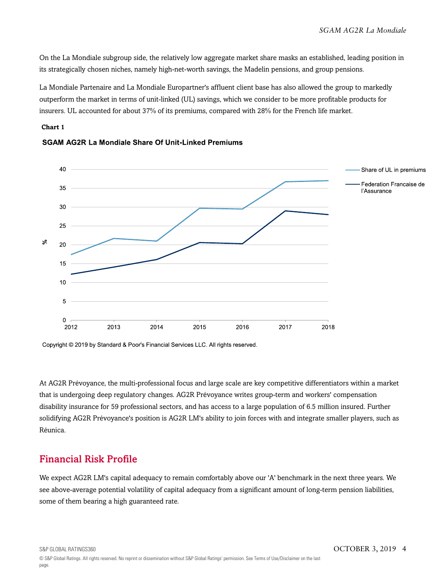On the La Mondiale subgroup side, the relatively low aggregate market share masks an established, leading position in its strategically chosen niches, namely high-net-worth savings, the Madelin pensions, and group pensions.

La Mondiale Partenaire and La Mondiale Europartner's affluent client base has also allowed the group to markedly outperform the market in terms of unit-linked (UL) savings, which we consider to be more profitable products for insurers. UL accounted for about 37% of its premiums, compared with 28% for the French life market.

### **Chart 1**



### **SGAM AG2R La Mondiale Share Of Unit-Linked Premiums**

At AG2R Prévoyance, the multi-professional focus and large scale are key competitive differentiators within a market that is undergoing deep regulatory changes. AG2R Prévoyance writes group-term and workers' compensation disability insurance for 59 professional sectors, and has access to a large population of 6.5 million insured. Further solidifying AG2R Prévoyance's position is AG2R LM's ability to join forces with and integrate smaller players, such as Réunica.

### <span id="page-3-0"></span>Financial Risk Profile

We expect AG2R LM's capital adequacy to remain comfortably above our 'A' benchmark in the next three years. We see above-average potential volatility of capital adequacy from a significant amount of long-term pension liabilities, some of them bearing a high guaranteed rate.

Copyright © 2019 by Standard & Poor's Financial Services LLC. All rights reserved.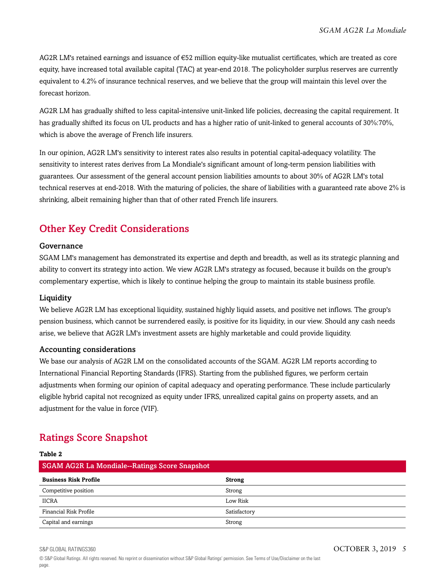AG2R LM's retained earnings and issuance of €52 million equity-like mutualist certificates, which are treated as core equity, have increased total available capital (TAC) at year-end 2018. The policyholder surplus reserves are currently equivalent to 4.2% of insurance technical reserves, and we believe that the group will maintain this level over the forecast horizon.

AG2R LM has gradually shifted to less capital-intensive unit-linked life policies, decreasing the capital requirement. It has gradually shifted its focus on UL products and has a higher ratio of unit-linked to general accounts of 30%:70%, which is above the average of French life insurers.

In our opinion, AG2R LM's sensitivity to interest rates also results in potential capital-adequacy volatility. The sensitivity to interest rates derives from La Mondiale's significant amount of long-term pension liabilities with guarantees. Our assessment of the general account pension liabilities amounts to about 30% of AG2R LM's total technical reserves at end-2018. With the maturing of policies, the share of liabilities with a guaranteed rate above 2% is shrinking, albeit remaining higher than that of other rated French life insurers.

# <span id="page-4-0"></span>Other Key Credit Considerations

### Governance

SGAM LM's management has demonstrated its expertise and depth and breadth, as well as its strategic planning and ability to convert its strategy into action. We view AG2R LM's strategy as focused, because it builds on the group's complementary expertise, which is likely to continue helping the group to maintain its stable business profile.

### Liquidity

**Table 2**

We believe AG2R LM has exceptional liquidity, sustained highly liquid assets, and positive net inflows. The group's pension business, which cannot be surrendered easily, is positive for its liquidity, in our view. Should any cash needs arise, we believe that AG2R LM's investment assets are highly marketable and could provide liquidity.

### Accounting considerations

We base our analysis of AG2R LM on the consolidated accounts of the SGAM. AG2R LM reports according to International Financial Reporting Standards (IFRS). Starting from the published figures, we perform certain adjustments when forming our opinion of capital adequacy and operating performance. These include particularly eligible hybrid capital not recognized as equity under IFRS, unrealized capital gains on property assets, and an adjustment for the value in force (VIF).

# <span id="page-4-1"></span>Ratings Score Snapshot

| rapie z                                              |               |
|------------------------------------------------------|---------------|
| <b>SGAM AG2R La Mondiale--Ratings Score Snapshot</b> |               |
| <b>Business Risk Profile</b>                         | <b>Strong</b> |
| Competitive position                                 | Strong        |
| <b>IICRA</b>                                         | Low Risk      |
| Financial Risk Profile                               | Satisfactory  |
| Capital and earnings                                 | Strong        |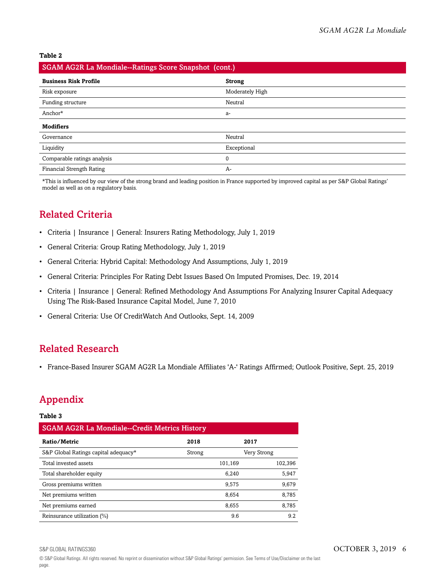**Table 2**

|  | SGAM AG2R La Mondiale--Ratings Score Snapshot (cont.) |  |  |
|--|-------------------------------------------------------|--|--|
|  |                                                       |  |  |

| <b>Business Risk Profile</b>     | <b>Strong</b>   |
|----------------------------------|-----------------|
| Risk exposure                    | Moderately High |
| Funding structure                | Neutral         |
| Anchor*                          | a-              |
| <b>Modifiers</b>                 |                 |
| Governance                       | Neutral         |
| Liquidity                        | Exceptional     |
| Comparable ratings analysis      | 0               |
| <b>Financial Strength Rating</b> | A-              |

\*This is influenced by our view of the strong brand and leading position in France supported by improved capital as per S&P Global Ratings' model as well as on a regulatory basis.

# <span id="page-5-0"></span>Related Criteria

- Criteria | Insurance | General: Insurers Rating Methodology, July 1, 2019
- General Criteria: Group Rating Methodology, July 1, 2019
- General Criteria: Hybrid Capital: Methodology And Assumptions, July 1, 2019
- General Criteria: Principles For Rating Debt Issues Based On Imputed Promises, Dec. 19, 2014
- Criteria | Insurance | General: Refined Methodology And Assumptions For Analyzing Insurer Capital Adequacy Using The Risk-Based Insurance Capital Model, June 7, 2010
- General Criteria: Use Of CreditWatch And Outlooks, Sept. 14, 2009

### <span id="page-5-1"></span>Related Research

• France-Based Insurer SGAM AG2R La Mondiale Affiliates 'A-' Ratings Affirmed; Outlook Positive, Sept. 25, 2019

# <span id="page-5-2"></span>Appendix

#### **Table 3**

| <b>SGAM AG2R La Mondiale--Credit Metrics History</b> |        |         |             |         |
|------------------------------------------------------|--------|---------|-------------|---------|
| Ratio/Metric                                         | 2018   |         | 2017        |         |
| S&P Global Ratings capital adequacy*                 | Strong |         | Very Strong |         |
| Total invested assets                                |        | 101,169 |             | 102,396 |
| Total shareholder equity                             |        | 6.240   |             | 5.947   |
| Gross premiums written                               |        | 9.575   |             | 9,679   |
| Net premiums written                                 |        | 8.654   |             | 8.785   |
| Net premiums earned                                  |        | 8.655   |             | 8,785   |
| Reinsurance utilization (%)                          |        | 9.6     |             | 9.2     |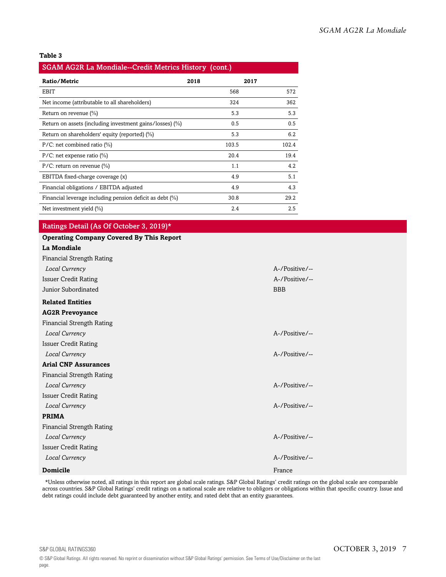#### **Table 3**

| SGAM AG2R La Mondiale--Credit Metrics History (cont.)    |       |       |  |
|----------------------------------------------------------|-------|-------|--|
| Ratio/Metric                                             | 2018  | 2017  |  |
| EBIT                                                     | 568   | 572   |  |
| Net income (attributable to all shareholders)            | 324   | 362   |  |
| Return on revenue $(\%)$                                 | 5.3   | 5.3   |  |
| Return on assets (including investment gains/losses) (%) | 0.5   | 0.5   |  |
| Return on shareholders' equity (reported) (%)            | 5.3   | 6.2   |  |
| $P/C$ : net combined ratio $(\%)$                        | 103.5 | 102.4 |  |
| $P/C$ : net expense ratio $(\%)$                         | 20.4  | 19.4  |  |
| $P/C$ : return on revenue $(\%)$                         | 1.1   | 4.2   |  |
| EBITDA fixed-charge coverage (x)                         | 4.9   | 5.1   |  |
| Financial obligations / EBITDA adjusted                  | 4.9   | 4.3   |  |
| Financial leverage including pension deficit as debt (%) | 30.8  | 29.2  |  |
| Net investment yield $(\%)$                              | 2.4   | 2.5   |  |

### Ratings Detail (As Of October 3, 2019)\*

| <b>Operating Company Covered By This Report</b> |                |
|-------------------------------------------------|----------------|
| <b>La Mondiale</b>                              |                |
| <b>Financial Strength Rating</b>                |                |
| Local Currency                                  | A-/Positive/-- |
| <b>Issuer Credit Rating</b>                     | A-/Positive/-- |
| Junior Subordinated                             | <b>BBB</b>     |
| <b>Related Entities</b>                         |                |
| <b>AG2R Prevoyance</b>                          |                |
| <b>Financial Strength Rating</b>                |                |
| Local Currency                                  | A-/Positive/-- |
| <b>Issuer Credit Rating</b>                     |                |
| Local Currency                                  | A-/Positive/-- |
| <b>Arial CNP Assurances</b>                     |                |
| <b>Financial Strength Rating</b>                |                |
| Local Currency                                  | A-/Positive/-- |
| <b>Issuer Credit Rating</b>                     |                |
| Local Currency                                  | A-/Positive/-- |
| <b>PRIMA</b>                                    |                |
| <b>Financial Strength Rating</b>                |                |
| Local Currency                                  | A-/Positive/-- |
| <b>Issuer Credit Rating</b>                     |                |
| Local Currency                                  | A-/Positive/-- |
| <b>Domicile</b>                                 | France         |

\*Unless otherwise noted, all ratings in this report are global scale ratings. S&P Global Ratings' credit ratings on the global scale are comparable across countries. S&P Global Ratings' credit ratings on a national scale are relative to obligors or obligations within that specific country. Issue and debt ratings could include debt guaranteed by another entity, and rated debt that an entity guarantees.